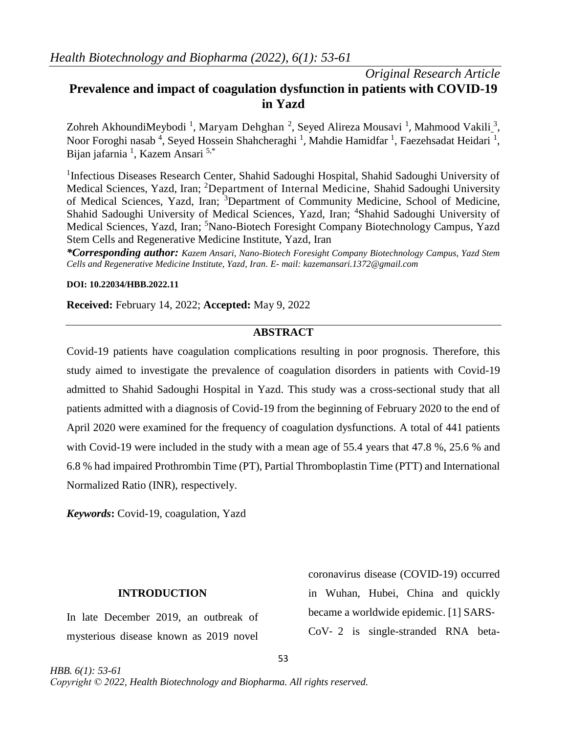# *Original Research Article* **Prevalence and impact of coagulation dysfunction in patients with COVID-19 in Yazd**

Zohreh AkhoundiMeybodi <sup>1</sup>, Maryam Dehghan <sup>2</sup>, Seyed Alireza Mousavi <sup>1</sup>, [Mahmood Vakili](https://www.ncbi.nlm.nih.gov/pubmed/?term=Vakili%20M%5BAuthor%5D&cauthor=true&cauthor_uid=30123864) <sup>3</sup>, Noor Foroghi nasab<sup>4</sup>, Seyed Hossein Shahcheraghi<sup>1</sup>, Mahdie Hamidfar<sup>1</sup>, Faezehsadat Heidari<sup>1</sup>, Bijan jafarnia <sup>1</sup>, Kazem Ansari <sup>5,\*</sup>

<sup>1</sup>Infectious Diseases Research Center, Shahid Sadoughi Hospital, Shahid Sadoughi University of Medical Sciences, Yazd, Iran; <sup>2</sup>Department of Internal Medicine, Shahid Sadoughi University of Medical Sciences, Yazd, Iran; <sup>3</sup>Department of Community Medicine, School of Medicine, Shahid Sadoughi University of Medical Sciences, Yazd, Iran; <sup>4</sup>Shahid Sadoughi University of Medical Sciences, Yazd, Iran; <sup>5</sup>Nano-Biotech Foresight Company Biotechnology Campus, Yazd Stem Cells and Regenerative Medicine Institute, Yazd, Iran

*\*Corresponding author: Kazem Ansari, Nano-Biotech Foresight Company Biotechnology Campus, Yazd Stem Cells and Regenerative Medicine Institute, Yazd, Iran. E- mail[: kazemansari.1372@gmail.com](mailto:kazemansari.1372@gmail.com)*

### **DOI: 10.22034/HBB.2022.11**

**Received:** February 14, 2022; **Accepted:** May 9, 2022

### **ABSTRACT**

Covid-19 patients have coagulation complications resulting in poor prognosis. Therefore, this study aimed to investigate the prevalence of coagulation disorders in patients with Covid-19 admitted to Shahid Sadoughi Hospital in Yazd. This study was a cross-sectional study that all patients admitted with a diagnosis of Covid-19 from the beginning of February 2020 to the end of April 2020 were examined for the frequency of coagulation dysfunctions. A total of 441 patients with Covid-19 were included in the study with a mean age of 55.4 years that 47.8 %, 25.6 % and 6.8 % had impaired Prothrombin Time (PT), Partial Thromboplastin Time (PTT) and International Normalized Ratio (INR), respectively.

*Keywords***:** Covid-19, coagulation, Yazd

### **INTRODUCTION**

In late December 2019, an outbreak of mysterious disease known as 2019 novel

*HBB. 6(1): 53-61*

coronavirus disease (COVID-19) occurred in Wuhan, Hubei, China and quickly became a worldwide epidemic. [1] SARS‐ CoV‐ 2 is single-stranded RNA beta-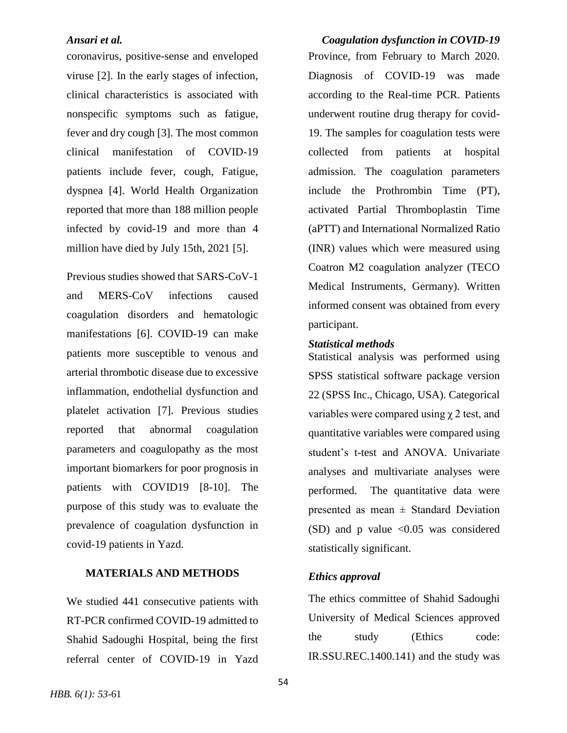coronavirus, positive-sense and enveloped viruse [2]. In the early stages of infection, clinical characteristics is associated with nonspecific symptoms such as fatigue, fever and dry cough [3]. The most common clinical manifestation of COVID-19 patients include fever, cough, Fatigue, dyspnea [4]. World Health Organization reported that more than 188 million people infected by covid-19 and more than 4 million have died by July 15th, 2021 [5].

Previous studies showed that SARS-CoV-1 and MERS-CoV infections caused coagulation disorders and hematologic manifestations [6]. COVID-19 can make patients more susceptible to venous and arterial thrombotic disease due to excessive inflammation, endothelial dysfunction and platelet activation [7]. Previous studies reported that abnormal coagulation parameters and coagulopathy as the most important biomarkers for poor prognosis in patients with COVID19 [8-10]. The purpose of this study was to evaluate the prevalence of coagulation dysfunction in covid-19 patients in Yazd.

### **MATERIALS AND METHODS**

We studied 441 consecutive patients with RT-PCR confirmed COVID-19 admitted to Shahid Sadoughi Hospital, being the first referral center of COVID-19 in Yazd

*Ansari et al. Coagulation dysfunction in COVID-19* Province, from February to March 2020. Diagnosis of COVID-19 was made according to the Real-time PCR. Patients underwent routine drug therapy for covid-19. The samples for coagulation tests were collected from patients at hospital admission. The coagulation parameters include the Prothrombin Time (PT), activated Partial Thromboplastin Time (aPTT) and International Normalized Ratio (INR) values which were measured using Coatron M2 coagulation analyzer (TECO Medical Instruments, Germany). Written informed consent was obtained from every participant.

### *Statistical methods*

Statistical analysis was performed using SPSS statistical software package version 22 (SPSS Inc., Chicago, USA). Categorical variables were compared using χ 2 test, and quantitative variables were compared using student's t-test and ANOVA. Univariate analyses and multivariate analyses were performed. The quantitative data were presented as mean  $\pm$  Standard Deviation (SD) and p value  $\langle 0.05 \rangle$  was considered statistically significant.

### *Ethics approval*

The ethics committee of Shahid Sadoughi University of Medical Sciences approved the study (Ethics code: IR.SSU.REC.1400.141) and the study was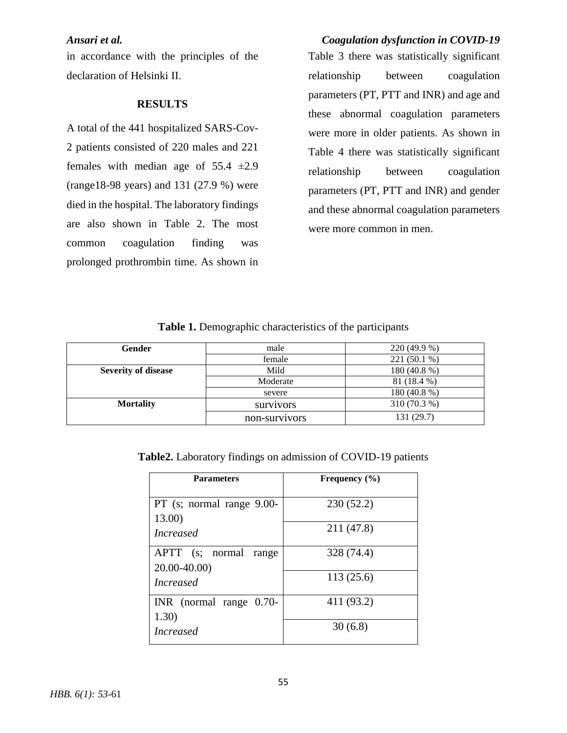in accordance with the principles of the declaration of Helsinki II.

### **RESULTS**

A total of the 441 hospitalized SARS-Cov-2 patients consisted of 220 males and 221 females with median age of  $55.4 \pm 2.9$ (range18-98 years) and 131 (27.9 %) were died in the hospital. The laboratory findings are also shown in Table 2. The most common coagulation finding was prolonged prothrombin time. As shown in

*Ansari et al. Coagulation dysfunction in COVID-19* Table 3 there was statistically significant relationship between coagulation parameters (PT, PTT and INR) and age and these abnormal coagulation parameters were more in older patients. As shown in Table 4 there was statistically significant relationship between coagulation parameters (PT, PTT and INR) and gender and these abnormal coagulation parameters were more common in men.

### **Table 1.** Demographic characteristics of the participants

| Gender                     | male             | 220 (49.9 %) |  |
|----------------------------|------------------|--------------|--|
|                            | female           | 221 (50.1 %) |  |
| <b>Severity of disease</b> | Mild             | 180 (40.8 %) |  |
|                            | Moderate         | 81 (18.4 %)  |  |
|                            | severe           | 180 (40.8 %) |  |
| <b>Mortality</b>           | <b>SUIVIVOIS</b> | 310 (70.3 %) |  |
|                            | non-survivors    | 131 (29.7)   |  |

**Table2.** Laboratory findings on admission of COVID-19 patients

| <b>Parameters</b>                                       | Frequency $(\% )$ |
|---------------------------------------------------------|-------------------|
| PT (s; normal range 9.00-<br>13.00)<br><i>Increased</i> | 230(52.2)         |
|                                                         | 211 (47.8)        |
| APTT (s; normal range<br>$20.00 - 40.00$                | 328 (74.4)        |
| <i>Increased</i>                                        | 113(25.6)         |
| INR (normal range 0.70-<br>1.30)                        | 411 (93.2)        |
| <i>Increased</i>                                        | 30(6.8)           |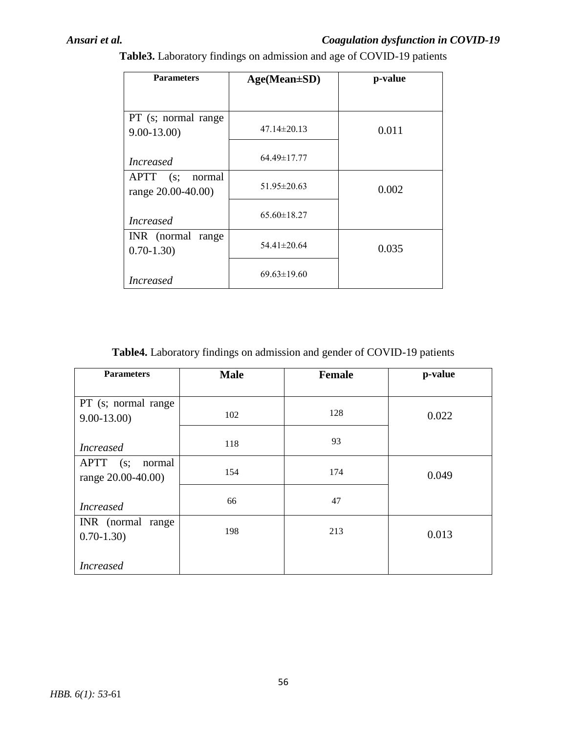## *Ansari et al. Coagulation dysfunction in COVID-19*

| <b>Parameters</b>                                  | $Age(Mean \pm SD)$ | p-value |  |
|----------------------------------------------------|--------------------|---------|--|
|                                                    |                    |         |  |
| PT (s; normal range<br>$9.00 - 13.00$              | $47.14 \pm 20.13$  | 0.011   |  |
| <i>Increased</i>                                   | 64.49±17.77        |         |  |
| <b>APTT</b><br>(s;<br>normal<br>range 20.00-40.00) | $51.95 \pm 20.63$  | 0.002   |  |
| <i>Increased</i>                                   | $65.60 \pm 18.27$  |         |  |
| INR (normal range<br>$0.70 - 1.30$                 | $54.41 \pm 20.64$  | 0.035   |  |
| <i>Increased</i>                                   | $69.63 \pm 19.60$  |         |  |

**Table3.** Laboratory findings on admission and age of COVID-19 patients

**Table4.** Laboratory findings on admission and gender of COVID-19 patients

| <b>Parameters</b>     | <b>Male</b> | <b>Female</b> | p-value |
|-----------------------|-------------|---------------|---------|
|                       |             |               |         |
| PT (s; normal range   |             |               |         |
| $9.00 - 13.00$        | 102         | 128           | 0.022   |
|                       |             | 93            |         |
| <i>Increased</i>      | 118         |               |         |
| $APT$ $(s;$<br>normal | 154         | 174           |         |
| range 20.00-40.00)    |             |               | 0.049   |
|                       | 66          | 47            |         |
| <b>Increased</b>      |             |               |         |
| INR (normal range     |             |               |         |
| $0.70 - 1.30$         | 198         | 213           | 0.013   |
|                       |             |               |         |
| <i>Increased</i>      |             |               |         |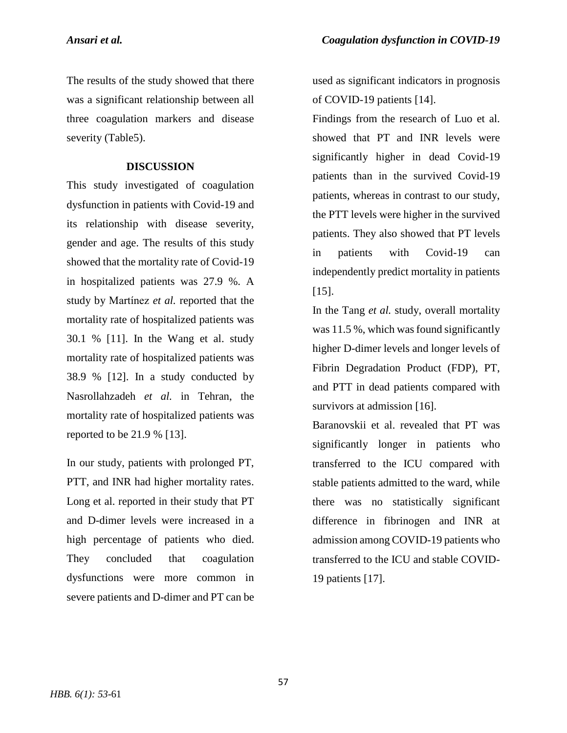The results of the study showed that there was a significant relationship between all three coagulation markers and disease severity (Table5).

### **DISCUSSION**

This study investigated of coagulation dysfunction in patients with Covid-19 and its relationship with disease severity, gender and age. The results of this study showed that the mortality rate of Covid-19 in hospitalized patients was 27.9 %. A study by Martínez *et al.* reported that the mortality rate of hospitalized patients was 30.1 % [11]. In the Wang et al. study mortality rate of hospitalized patients was 38.9 % [12]. In a study conducted by Nasrollahzadeh *et al.* in Tehran, the mortality rate of hospitalized patients was reported to be 21.9 % [13].

In our study, patients with prolonged PT, PTT, and INR had higher mortality rates. Long et al. reported in their study that PT and D-dimer levels were increased in a high percentage of patients who died. They concluded that coagulation dysfunctions were more common in severe patients and D-dimer and PT can be

used as significant indicators in prognosis of COVID-19 patients [14].

Findings from the research of Luo et al. showed that PT and INR levels were significantly higher in dead Covid-19 patients than in the survived Covid-19 patients, whereas in contrast to our study, the PTT levels were higher in the survived patients. They also showed that PT levels in patients with Covid-19 can independently predict mortality in patients [15].

In the Tang *et al.* study, overall mortality was 11.5 %, which was found significantly higher D-dimer levels and longer levels of Fibrin Degradation Product (FDP), PT, and PTT in dead patients compared with survivors at admission [16].

Baranovskii et al. revealed that PT was significantly longer in patients who transferred to the ICU compared with stable patients admitted to the ward, while there was no statistically significant difference in fibrinogen and INR at admission among COVID-19 patients who transferred to the ICU and stable COVID-19 patients [17].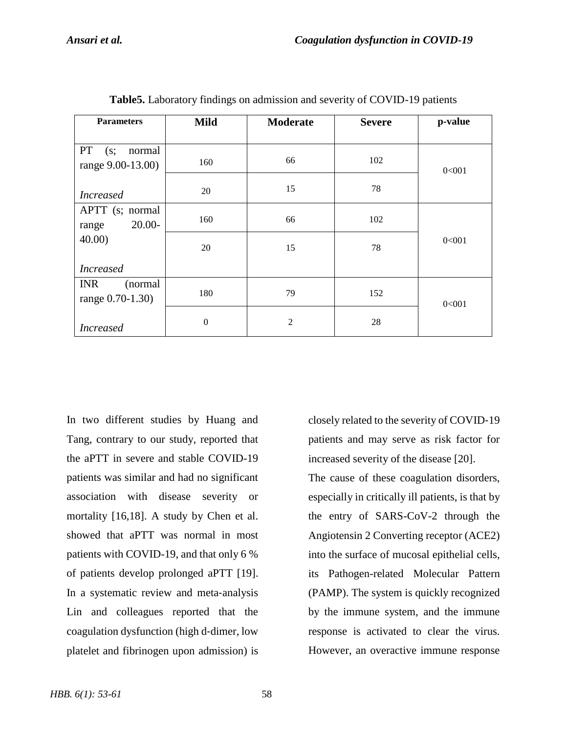| <b>Parameters</b>                          | <b>Mild</b>      | <b>Moderate</b> | <b>Severe</b> | p-value |
|--------------------------------------------|------------------|-----------------|---------------|---------|
| PT<br>normal<br>(s;<br>range 9.00-13.00)   | 160              | 66              | 102           | 0<001   |
| <b>Increased</b>                           | 20               | 15              | 78            |         |
| APTT (s; normal<br>$20.00 -$<br>range      | 160              | 66              | 102           |         |
| 40.00                                      | 20               | 15              | 78            | 0<001   |
| <b>Increased</b>                           |                  |                 |               |         |
| <b>INR</b><br>(normal)<br>range 0.70-1.30) | 180              | 79              | 152           | 0<001   |
| <b>Increased</b>                           | $\boldsymbol{0}$ | $\overline{c}$  | 28            |         |

**Table5.** Laboratory findings on admission and severity of COVID-19 patients

In two different studies by Huang and Tang, contrary to our study, reported that the aPTT in severe and stable COVID-19 patients was similar and had no significant association with disease severity or mortality [16,18]. A study by Chen et al. showed that aPTT was normal in most patients with COVID-19, and that only 6 % of patients develop prolonged aPTT [19]. In a systematic review and meta‐analysis Lin and colleagues reported that the coagulation dysfunction (high d‐dimer, low platelet and fibrinogen upon admission) is

closely related to the severity of COVID‐19 patients and may serve as risk factor for increased severity of the disease [20].

The cause of these coagulation disorders, especially in critically ill patients, is that by the entry of SARS-CoV-2 through the Angiotensin 2 Converting receptor (ACE2) into the surface of mucosal epithelial cells, its Pathogen-related Molecular Pattern (PAMP). The system is quickly recognized by the immune system, and the immune response is activated to clear the virus. However, an overactive immune response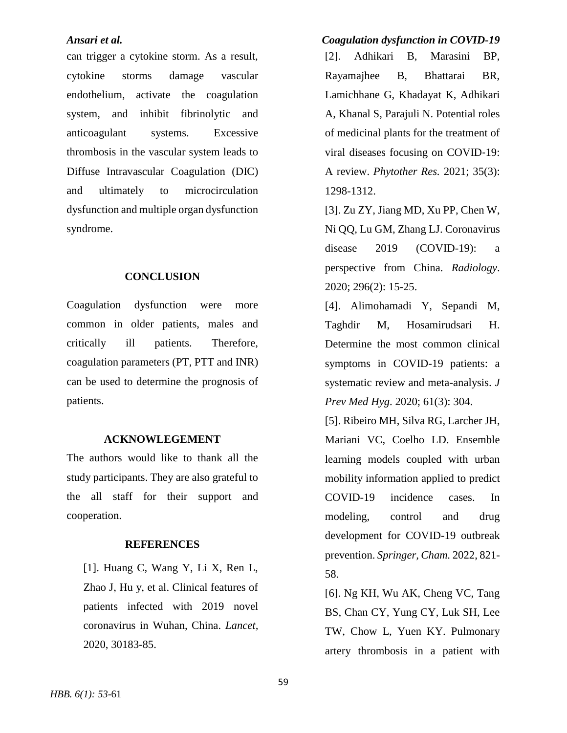can trigger a cytokine storm. As a result, cytokine storms damage vascular endothelium, activate the coagulation system, and inhibit fibrinolytic and anticoagulant systems. Excessive thrombosis in the vascular system leads to Diffuse Intravascular Coagulation (DIC) and ultimately to microcirculation dysfunction and multiple organ dysfunction syndrome.

### **CONCLUSION**

Coagulation dysfunction were more common in older patients, males and critically ill patients. Therefore, coagulation parameters (PT, PTT and INR) can be used to determine the prognosis of patients.

### **ACKNOWLEGEMENT**

The authors would like to thank all the study participants. They are also grateful to the all staff for their support and cooperation.

### **REFERENCES**

[1]. Huang C, Wang Y, Li X, Ren L, Zhao J, Hu y, et al. Clinical features of patients infected with 2019 novel coronavirus in Wuhan, China. *Lancet,* 2020, 30183-85.

# *Ansari et al. Coagulation dysfunction in COVID-19*

[2]. Adhikari B, Marasini BP, Rayamajhee B, Bhattarai BR, Lamichhane G, Khadayat K, Adhikari A, Khanal S, Parajuli N. Potential roles of medicinal plants for the treatment of viral diseases focusing on COVID‐19: A review. *Phytother Res.* 2021; 35(3): 1298-1312.

[3]. Zu ZY, Jiang MD, Xu PP, Chen W, Ni QQ, Lu GM, Zhang LJ. Coronavirus disease 2019 (COVID-19): a perspective from China. *Radiology*. 2020; 296(2): 15-25.

[4]. Alimohamadi Y, Sepandi M, Taghdir M, Hosamirudsari H. Determine the most common clinical symptoms in COVID-19 patients: a systematic review and meta-analysis. *J Prev Med Hyg*. 2020; 61(3): 304.

[5]. Ribeiro MH, Silva RG, Larcher JH, Mariani VC, Coelho LD. Ensemble learning models coupled with urban mobility information applied to predict COVID-19 incidence cases. In modeling, control and drug development for COVID-19 outbreak prevention. *Springer, Cham.* 2022, 821- 58.

[6]. Ng KH, Wu AK, Cheng VC, Tang BS, Chan CY, Yung CY, Luk SH, Lee TW, Chow L, Yuen KY. Pulmonary artery thrombosis in a patient with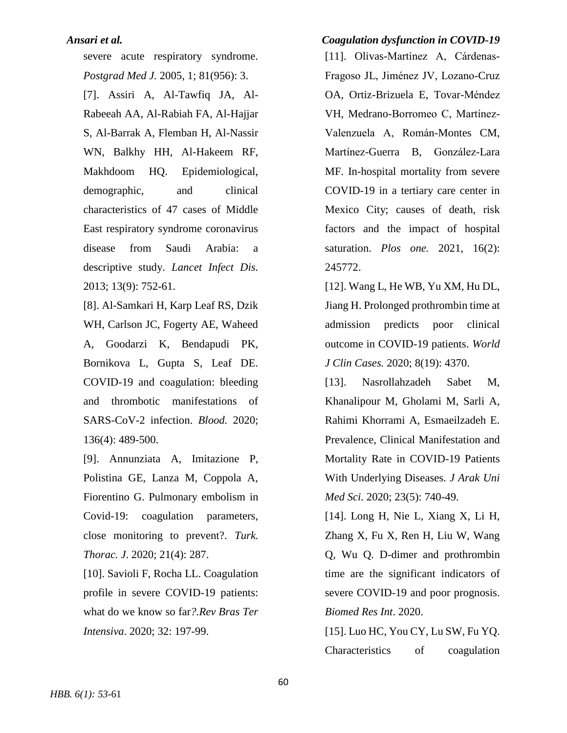severe acute respiratory syndrome. *Postgrad Med J.* 2005, 1; 81(956): 3. [7]. Assiri A, Al-Tawfiq JA, Al-Rabeeah AA, Al-Rabiah FA, Al-Hajjar S, Al-Barrak A, Flemban H, Al-Nassir WN, Balkhy HH, Al-Hakeem RF, Makhdoom HQ. Epidemiological, demographic, and clinical characteristics of 47 cases of Middle East respiratory syndrome coronavirus disease from Saudi Arabia: a descriptive study. *Lancet Infect Dis.* 2013; 13(9): 752-61.

[8]. Al-Samkari H, Karp Leaf RS, Dzik WH, Carlson JC, Fogerty AE, Waheed A, Goodarzi K, Bendapudi PK, Bornikova L, Gupta S, Leaf DE. COVID-19 and coagulation: bleeding and thrombotic manifestations of SARS-CoV-2 infection. *Blood.* 2020; 136(4): 489-500.

[9]. Annunziata A, Imitazione P, Polistina GE, Lanza M, Coppola A, Fiorentino G. Pulmonary embolism in Covid-19: coagulation parameters, close monitoring to prevent?. *Turk. Thorac. J*. 2020; 21(4): 287.

[10]. Savioli F, Rocha LL. Coagulation profile in severe COVID-19 patients: what do we know so far*?.Rev Bras Ter Intensiva*. 2020; 32: 197-99.

*Ansari et al. Coagulation dysfunction in COVID-19* [11]. Olivas-Martínez A, Cárdenas-Fragoso JL, Jiménez JV, Lozano-Cruz OA, Ortiz-Brizuela E, Tovar-Méndez VH, Medrano-Borromeo C, Martínez-Valenzuela A, Román-Montes CM, Martínez-Guerra B, González-Lara MF. In-hospital mortality from severe COVID-19 in a tertiary care center in Mexico City; causes of death, risk factors and the impact of hospital saturation. *Plos one.* 2021, 16(2): 245772.

> [12]. Wang L, He WB, Yu XM, Hu DL, Jiang H. Prolonged prothrombin time at admission predicts poor clinical outcome in COVID-19 patients. *World J Clin Cases.* 2020; 8(19): 4370.

> [13]. Nasrollahzadeh Sabet M, Khanalipour M, Gholami M, Sarli A, Rahimi Khorrami A, Esmaeilzadeh E. Prevalence, Clinical Manifestation and Mortality Rate in COVID-19 Patients With Underlying Diseases. *J Arak Uni Med Sci.* 2020; 23(5): 740-49.

> [14]. Long H, Nie L, Xiang X, Li H, Zhang X, Fu X, Ren H, Liu W, Wang Q, Wu Q. D-dimer and prothrombin time are the significant indicators of severe COVID-19 and poor prognosis. *Biomed Res Int*. 2020.

> [15]. Luo HC, You CY, Lu SW, Fu YQ. Characteristics of coagulation